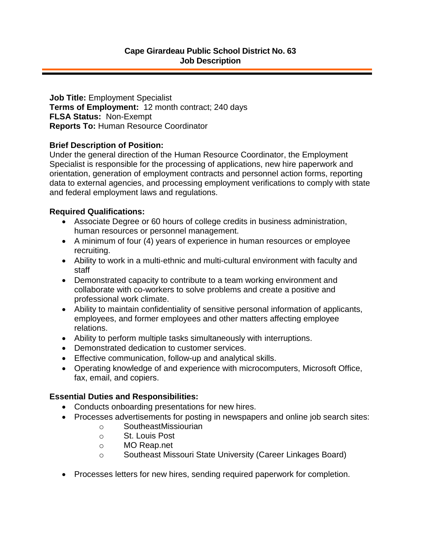**Job Title:** Employment Specialist **Terms of Employment:** 12 month contract; 240 days **FLSA Status:** Non-Exempt **Reports To:** Human Resource Coordinator

## **Brief Description of Position:**

Under the general direction of the Human Resource Coordinator, the Employment Specialist is responsible for the processing of applications, new hire paperwork and orientation, generation of employment contracts and personnel action forms, reporting data to external agencies, and processing employment verifications to comply with state and federal employment laws and regulations.

## **Required Qualifications:**

- Associate Degree or 60 hours of college credits in business administration, human resources or personnel management.
- A minimum of four (4) years of experience in human resources or employee recruiting.
- Ability to work in a multi-ethnic and multi-cultural environment with faculty and staff
- Demonstrated capacity to contribute to a team working environment and collaborate with co-workers to solve problems and create a positive and professional work climate.
- Ability to maintain confidentiality of sensitive personal information of applicants, employees, and former employees and other matters affecting employee relations.
- Ability to perform multiple tasks simultaneously with interruptions.
- Demonstrated dedication to customer services.
- Effective communication, follow-up and analytical skills.
- Operating knowledge of and experience with microcomputers, Microsoft Office, fax, email, and copiers.

## **Essential Duties and Responsibilities:**

- Conducts onboarding presentations for new hires.
- Processes advertisements for posting in newspapers and online job search sites:
	- o SoutheastMissiourian
	- o St. Louis Post
	- o MO Reap.net
	- o Southeast Missouri State University (Career Linkages Board)
- Processes letters for new hires, sending required paperwork for completion.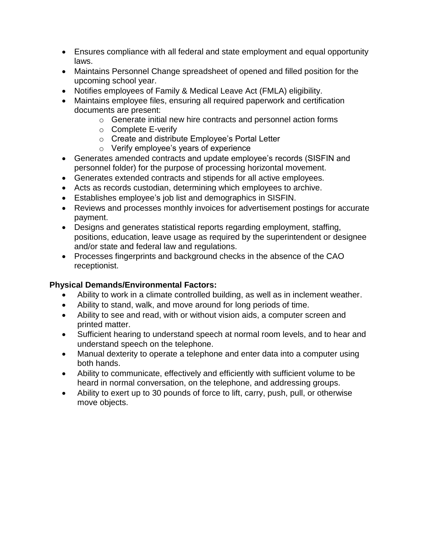- Ensures compliance with all federal and state employment and equal opportunity laws.
- Maintains Personnel Change spreadsheet of opened and filled position for the upcoming school year.
- Notifies employees of Family & Medical Leave Act (FMLA) eligibility.
- Maintains employee files, ensuring all required paperwork and certification documents are present:
	- o Generate initial new hire contracts and personnel action forms
	- o Complete E-verify
	- o Create and distribute Employee's Portal Letter
	- o Verify employee's years of experience
- Generates amended contracts and update employee's records (SISFIN and personnel folder) for the purpose of processing horizontal movement.
- Generates extended contracts and stipends for all active employees.
- Acts as records custodian, determining which employees to archive.
- Establishes employee's job list and demographics in SISFIN.
- Reviews and processes monthly invoices for advertisement postings for accurate payment.
- Designs and generates statistical reports regarding employment, staffing, positions, education, leave usage as required by the superintendent or designee and/or state and federal law and regulations.
- Processes fingerprints and background checks in the absence of the CAO receptionist.

## **Physical Demands/Environmental Factors:**

- Ability to work in a climate controlled building, as well as in inclement weather.
- Ability to stand, walk, and move around for long periods of time.
- Ability to see and read, with or without vision aids, a computer screen and printed matter.
- Sufficient hearing to understand speech at normal room levels, and to hear and understand speech on the telephone.
- Manual dexterity to operate a telephone and enter data into a computer using both hands.
- Ability to communicate, effectively and efficiently with sufficient volume to be heard in normal conversation, on the telephone, and addressing groups.
- Ability to exert up to 30 pounds of force to lift, carry, push, pull, or otherwise move objects.